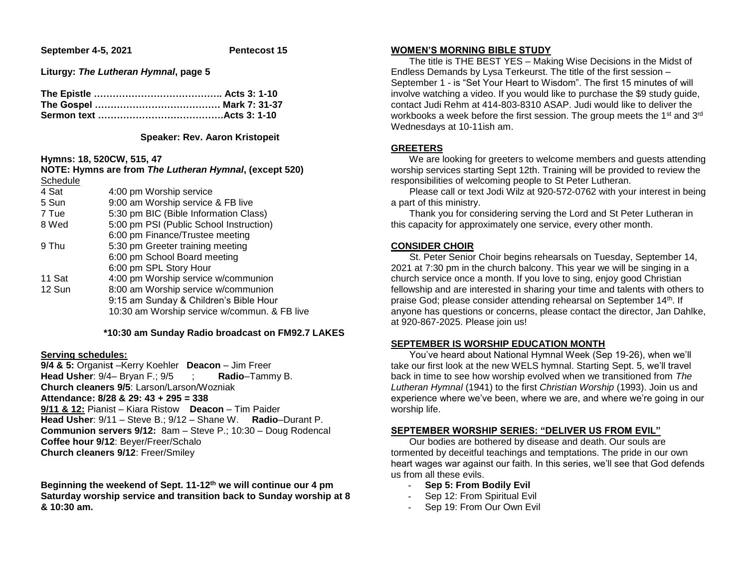**September 4-5, 2021 Pentecost 15** 

**Liturgy:** *The Lutheran Hymnal***, page 5**

### **Speaker: Rev. Aaron Kristopeit**

## **Hymns: 18, 520CW, 515, 47**

|          | NOTE: Hymns are from The Lutheran Hymnal, (except 520) |
|----------|--------------------------------------------------------|
| Schedule |                                                        |
| 4 Sat    | 4:00 pm Worship service                                |

| 5 Sun  | 9:00 am Worship service & FB live            |
|--------|----------------------------------------------|
| 7 Tue  | 5:30 pm BIC (Bible Information Class)        |
| 8 Wed  | 5:00 pm PSI (Public School Instruction)      |
|        | 6:00 pm Finance/Trustee meeting              |
| 9 Thu  | 5:30 pm Greeter training meeting             |
|        | 6:00 pm School Board meeting                 |
|        | 6:00 pm SPL Story Hour                       |
| 11 Sat | 4:00 pm Worship service w/communion          |
| 12 Sun | 8:00 am Worship service w/communion          |
|        | 9:15 am Sunday & Children's Bible Hour       |
|        | 10:30 am Worship service w/commun. & FB live |
|        |                                              |

#### **\*10:30 am Sunday Radio broadcast on FM92.7 LAKES**

# **Serving schedules:**

**9/4 & 5:** Organis**t** –Kerry Koehler **Deacon** – Jim Freer **Head Usher**: 9/4– Bryan F.; 9/5 ; **Radio**–Tammy B. **Church cleaners 9/5**: Larson/Larson/Wozniak **Attendance: 8/28 & 29: 43 + 295 = 338 9/11 & 12:** Pianist – Kiara Ristow **Deacon** – Tim Paider **Head Usher**: 9/11 – Steve B.; 9/12 – Shane W. **Radio**–Durant P. **Communion servers 9/12:** 8am – Steve P.; 10:30 – Doug Rodencal **Coffee hour 9/12**: Beyer/Freer/Schalo **Church cleaners 9/12**: Freer/Smiley

**Beginning the weekend of Sept. 11-12th we will continue our 4 pm Saturday worship service and transition back to Sunday worship at 8 & 10:30 am.**

# **WOMEN'S MORNING BIBLE STUDY**

 The title is THE BEST YES – Making Wise Decisions in the Midst of Endless Demands by Lysa Terkeurst. The title of the first session – September 1 - is "Set Your Heart to Wisdom". The first 15 minutes of will involve watching a video. If you would like to purchase the \$9 study guide, contact Judi Rehm at 414-803-8310 ASAP. Judi would like to deliver the workbooks a week before the first session. The group meets the 1<sup>st</sup> and 3<sup>rd</sup> Wednesdays at 10-11ish am.

# **GREETERS**

 We are looking for greeters to welcome members and guests attending worship services starting Sept 12th. Training will be provided to review the responsibilities of welcoming people to St Peter Lutheran.

 Please call or text Jodi Wilz at 920-572-0762 with your interest in being a part of this ministry.

 Thank you for considering serving the Lord and St Peter Lutheran in this capacity for approximately one service, every other month.

# **CONSIDER CHOIR**

 St. Peter Senior Choir begins rehearsals on Tuesday, September 14, 2021 at 7:30 pm in the church balcony. This year we will be singing in a church service once a month. If you love to sing, enjoy good Christian fellowship and are interested in sharing your time and talents with others to praise God; please consider attending rehearsal on September 14<sup>th</sup>. If anyone has questions or concerns, please contact the director, Jan Dahlke, at 920-867-2025. Please join us!

# **SEPTEMBER IS WORSHIP EDUCATION MONTH**

 You've heard about National Hymnal Week (Sep 19-26), when we'll take our first look at the new WELS hymnal. Starting Sept. 5, we'll travel back in time to see how worship evolved when we transitioned from *The Lutheran Hymnal* (1941) to the first *Christian Worship* (1993). Join us and experience where we've been, where we are, and where we're going in our worship life.

# **SEPTEMBER WORSHIP SERIES: "DELIVER US FROM EVIL"**

 Our bodies are bothered by disease and death. Our souls are tormented by deceitful teachings and temptations. The pride in our own heart wages war against our faith. In this series, we'll see that God defends us from all these evils.

- **Sep 5: From Bodily Evil**
- Sep 12: From Spiritual Evil
- Sep 19: From Our Own Evil